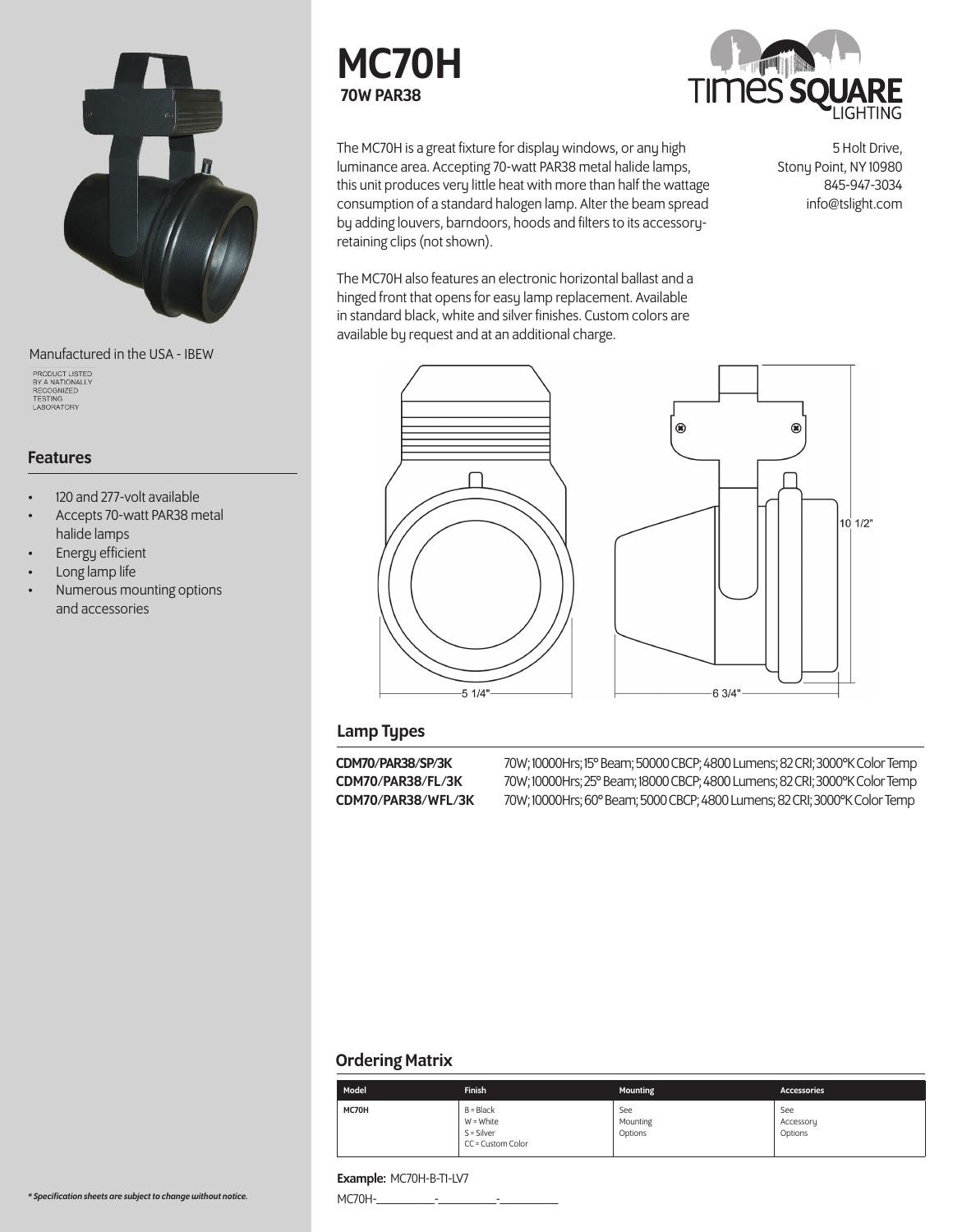

Manufactured in the USA - IBEW

PRODUCT LISTED<br>BY A NATIONALLY<br>RECOGNIZED<br>TESTING<br>LABORATORY

### Features

- 120 and 277-volt available
- Accepts 70-watt PAR38 metal halide lamps
- **Energy efficient**
- Long lamp life
- Numerous mounting options and accessories





The MC70H is a great fixture for display windows, or any high luminance area. Accepting 70-watt PAR38 metal halide lamps, this unit produces very little heat with more than half the wattage consumption of a standard halogen lamp. Alter the beam spread by adding louvers, barndoors, hoods and filters to its accessoryretaining clips (not shown).

5 Holt Drive, Stony Point, NY 10980 845-947-3034 info@tslight.com

The MC70H also features an electronic horizontal ballast and a hinged front that opens for easy lamp replacement. Available in standard black, white and silver finishes. Custom colors are available by request and at an additional charge.





### Lamp Types

CDM70/PAR38/SP/3K 70W; 10000Hrs; 15° Beam; 50000 CBCP; 4800 Lumens; 82 CRI; 3000°K Color Temp CDM70/PAR38/FL/3K 70W; 10000Hrs; 25° Beam; 18000 CBCP; 4800 Lumens; 82 CRI; 3000°K Color Temp CDM70/PAR38/WFL/3K 70W; 10000Hrs; 60° Beam; 5000 CBCP; 4800 Lumens; 82 CRI; 3000°K Color Temp

### Ordering Matrix

| Model | <b>Finish</b>                                                 | <b>Mounting</b>            | <b>Accessories</b>          |
|-------|---------------------------------------------------------------|----------------------------|-----------------------------|
| MC70H | $B = Black$<br>W = White<br>$S = Silver$<br>CC = Custom Color | See<br>Mounting<br>Options | See<br>Accessory<br>Options |

### Example: MC70H-B-T1-LV7

MC70H-\_\_\_\_\_\_\_\_\_-\_\_\_\_\_\_\_\_\_-\_\_\_\_\_\_\_\_\_